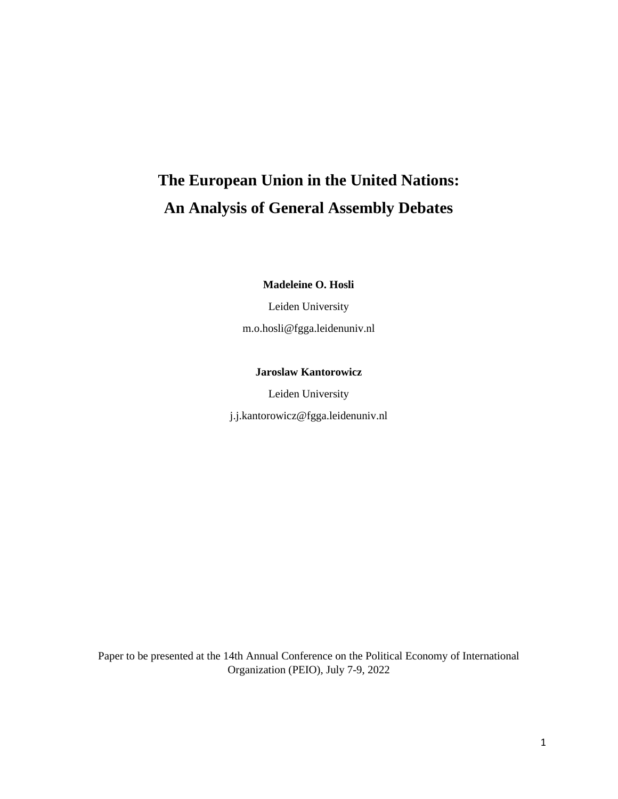# **The European Union in the United Nations: An Analysis of General Assembly Debates**

**Madeleine O. Hosli** 

Leiden University

m.o.hosli@fgga.leidenuniv.nl

# **Jaroslaw Kantorowicz**

Leiden University

[j.j.kantorowicz@fgga.leidenuniv.nl](mailto:j.j.kantorowicz@fgga.leidenuniv.nl)

Paper to be presented at the 14th Annual Conference on the Political Economy of International Organization (PEIO), July 7-9, 2022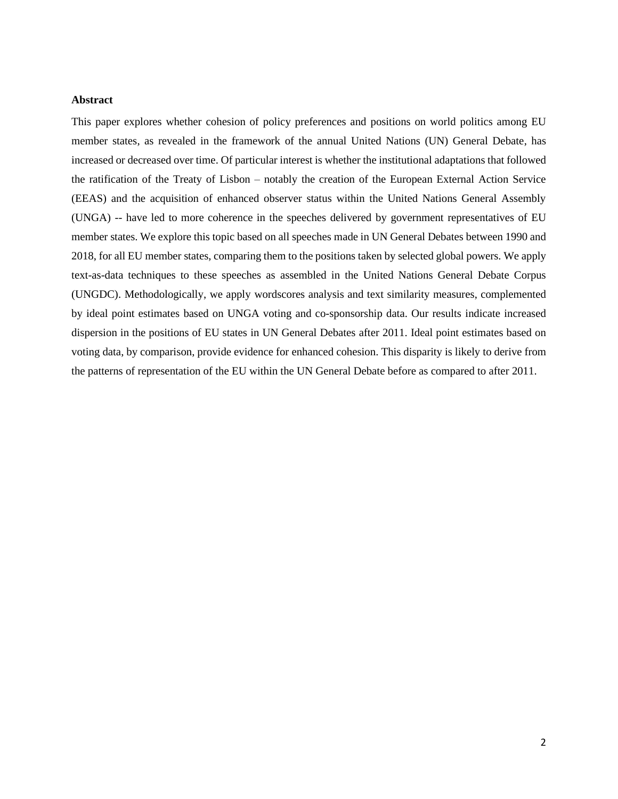# **Abstract**

This paper explores whether cohesion of policy preferences and positions on world politics among EU member states, as revealed in the framework of the annual United Nations (UN) General Debate, has increased or decreased over time. Of particular interest is whether the institutional adaptations that followed the ratification of the Treaty of Lisbon – notably the creation of the European External Action Service (EEAS) and the acquisition of enhanced observer status within the United Nations General Assembly (UNGA) -- have led to more coherence in the speeches delivered by government representatives of EU member states. We explore this topic based on all speeches made in UN General Debates between 1990 and 2018, for all EU member states, comparing them to the positions taken by selected global powers. We apply text-as-data techniques to these speeches as assembled in the United Nations General Debate Corpus (UNGDC). Methodologically, we apply wordscores analysis and text similarity measures, complemented by ideal point estimates based on UNGA voting and co-sponsorship data. Our results indicate increased dispersion in the positions of EU states in UN General Debates after 2011. Ideal point estimates based on voting data, by comparison, provide evidence for enhanced cohesion. This disparity is likely to derive from the patterns of representation of the EU within the UN General Debate before as compared to after 2011.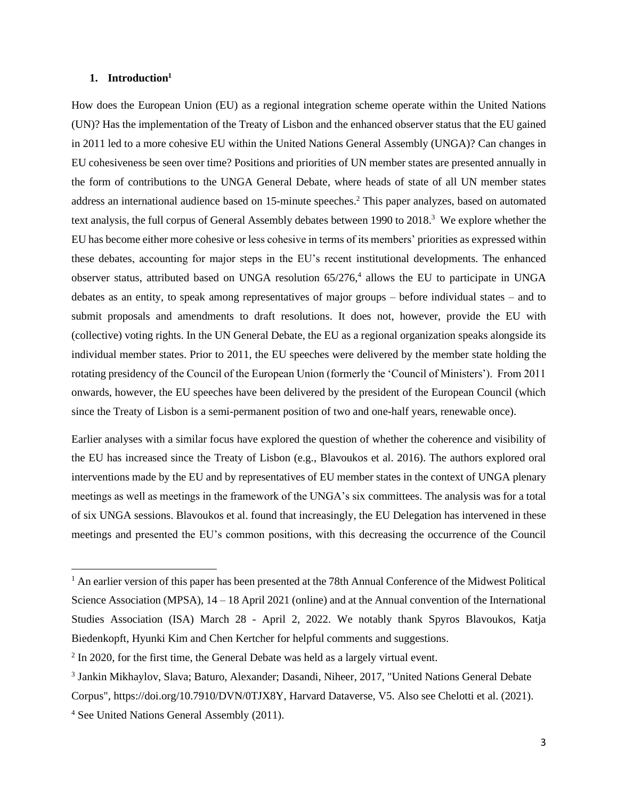## **1. Introduction<sup>1</sup>**

How does the European Union (EU) as a regional integration scheme operate within the United Nations (UN)? Has the implementation of the Treaty of Lisbon and the enhanced observer status that the EU gained in 2011 led to a more cohesive EU within the United Nations General Assembly (UNGA)? Can changes in EU cohesiveness be seen over time? Positions and priorities of UN member states are presented annually in the form of contributions to the UNGA General Debate, where heads of state of all UN member states address an international audience based on 15-minute speeches. <sup>2</sup> This paper analyzes, based on automated text analysis, the full corpus of General Assembly debates between 1990 to 2018. <sup>3</sup> We explore whether the EU has become either more cohesive or less cohesive in terms of its members' priorities as expressed within these debates, accounting for major steps in the EU's recent institutional developments. The enhanced observer status, attributed based on UNGA resolution  $65/276$ ,<sup>4</sup> allows the EU to participate in UNGA debates as an entity, to speak among representatives of major groups – before individual states – and to submit proposals and amendments to draft resolutions. It does not, however, provide the EU with (collective) voting rights. In the UN General Debate, the EU as a regional organization speaks alongside its individual member states. Prior to 2011, the EU speeches were delivered by the member state holding the rotating presidency of the Council of the European Union (formerly the 'Council of Ministers'). From 2011 onwards, however, the EU speeches have been delivered by the president of the European Council (which since the Treaty of Lisbon is a semi-permanent position of two and one-half years, renewable once).

Earlier analyses with a similar focus have explored the question of whether the coherence and visibility of the EU has increased since the Treaty of Lisbon (e.g., Blavoukos et al. 2016). The authors explored oral interventions made by the EU and by representatives of EU member states in the context of UNGA plenary meetings as well as meetings in the framework of the UNGA's six committees. The analysis was for a total of six UNGA sessions. Blavoukos et al. found that increasingly, the EU Delegation has intervened in these meetings and presented the EU's common positions, with this decreasing the occurrence of the Council

<sup>&</sup>lt;sup>1</sup> An earlier version of this paper has been presented at the 78th Annual Conference of the Midwest Political Science Association (MPSA), 14 – 18 April 2021 (online) and at the Annual convention of the International Studies Association (ISA) March 28 - April 2, 2022. We notably thank Spyros Blavoukos, Katja Biedenkopft, Hyunki Kim and Chen Kertcher for helpful comments and suggestions.

 $2$  In 2020, for the first time, the General Debate was held as a largely virtual event.

<sup>&</sup>lt;sup>3</sup> Jankin Mikhaylov, Slava; Baturo, Alexander; Dasandi, Niheer, 2017, "United Nations General Debate

Corpus", https://doi.org/10.7910/DVN/0TJX8Y, Harvard Dataverse, V5. Also see Chelotti et al. (2021).

<sup>4</sup> See United Nations General Assembly (2011).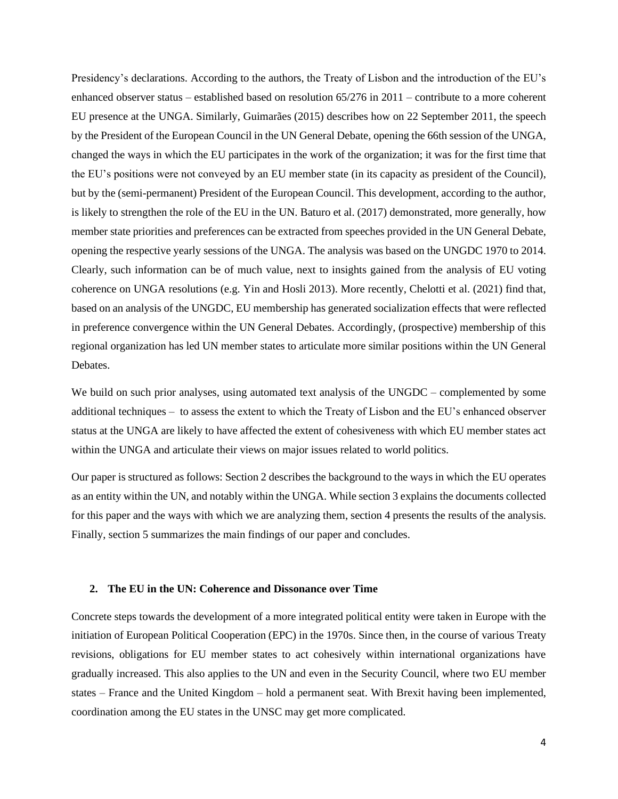Presidency's declarations. According to the authors, the Treaty of Lisbon and the introduction of the EU's enhanced observer status – established based on resolution 65/276 in 2011 – contribute to a more coherent EU presence at the UNGA. Similarly, Guimarães (2015) describes how on 22 September 2011, the speech by the President of the European Council in the UN General Debate, opening the 66th session of the UNGA, changed the ways in which the EU participates in the work of the organization; it was for the first time that the EU's positions were not conveyed by an EU member state (in its capacity as president of the Council), but by the (semi-permanent) President of the European Council. This development, according to the author, is likely to strengthen the role of the EU in the UN. Baturo et al. (2017) demonstrated, more generally, how member state priorities and preferences can be extracted from speeches provided in the UN General Debate, opening the respective yearly sessions of the UNGA. The analysis was based on the UNGDC 1970 to 2014. Clearly, such information can be of much value, next to insights gained from the analysis of EU voting coherence on UNGA resolutions (e.g. Yin and Hosli 2013). More recently, Chelotti et al. (2021) find that, based on an analysis of the UNGDC, EU membership has generated socialization effects that were reflected in preference convergence within the UN General Debates. Accordingly, (prospective) membership of this regional organization has led UN member states to articulate more similar positions within the UN General Debates.

We build on such prior analyses, using automated text analysis of the UNGDC – complemented by some additional techniques – to assess the extent to which the Treaty of Lisbon and the EU's enhanced observer status at the UNGA are likely to have affected the extent of cohesiveness with which EU member states act within the UNGA and articulate their views on major issues related to world politics.

Our paper is structured as follows: Section 2 describes the background to the ways in which the EU operates as an entity within the UN, and notably within the UNGA. While section 3 explains the documents collected for this paper and the ways with which we are analyzing them, section 4 presents the results of the analysis. Finally, section 5 summarizes the main findings of our paper and concludes.

#### **2. The EU in the UN: Coherence and Dissonance over Time**

Concrete steps towards the development of a more integrated political entity were taken in Europe with the initiation of European Political Cooperation (EPC) in the 1970s. Since then, in the course of various Treaty revisions, obligations for EU member states to act cohesively within international organizations have gradually increased. This also applies to the UN and even in the Security Council, where two EU member states – France and the United Kingdom – hold a permanent seat. With Brexit having been implemented, coordination among the EU states in the UNSC may get more complicated.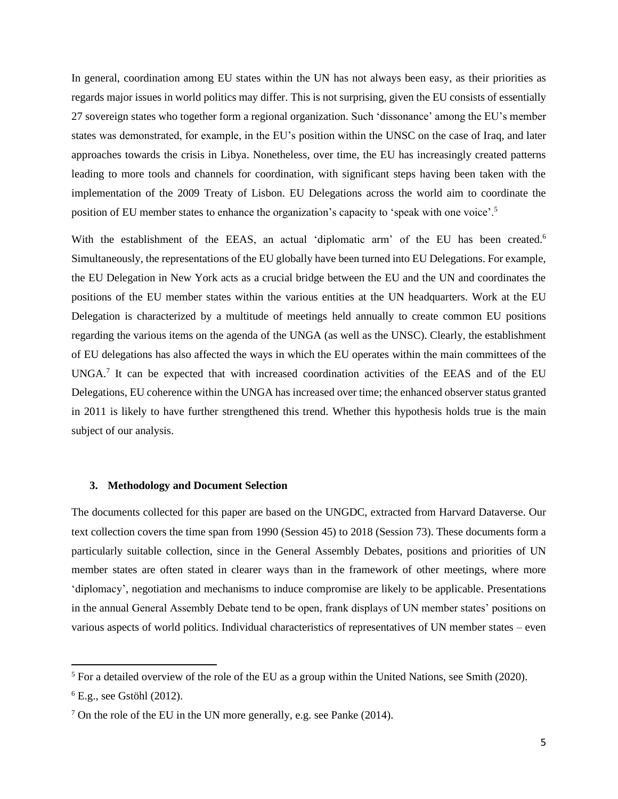In general, coordination among EU states within the UN has not always been easy, as their priorities as regards major issues in world politics may differ. This is not surprising, given the EU consists of essentially 27 sovereign states who together form a regional organization. Such 'dissonance' among the EU's member states was demonstrated, for example, in the EU's position within the UNSC on the case of Iraq, and later approaches towards the crisis in Libya. Nonetheless, over time, the EU has increasingly created patterns leading to more tools and channels for coordination, with significant steps having been taken with the implementation of the 2009 Treaty of Lisbon. EU Delegations across the world aim to coordinate the position of EU member states to enhance the organization's capacity to 'speak with one voice'.<sup>5</sup>

With the establishment of the EEAS, an actual 'diplomatic arm' of the EU has been created.<sup>6</sup> Simultaneously, the representations of the EU globally have been turned into EU Delegations. For example, the EU Delegation in New York acts as a crucial bridge between the EU and the UN and coordinates the positions of the EU member states within the various entities at the UN headquarters. Work at the EU Delegation is characterized by a multitude of meetings held annually to create common EU positions regarding the various items on the agenda of the UNGA (as well as the UNSC). Clearly, the establishment of EU delegations has also affected the ways in which the EU operates within the main committees of the UNGA.<sup>7</sup> It can be expected that with increased coordination activities of the EEAS and of the EU Delegations, EU coherence within the UNGA has increased over time; the enhanced observer status granted in 2011 is likely to have further strengthened this trend. Whether this hypothesis holds true is the main subject of our analysis.

## **3. Methodology and Document Selection**

The documents collected for this paper are based on the UNGDC, extracted from Harvard Dataverse. Our text collection covers the time span from 1990 (Session 45) to 2018 (Session 73). These documents form a particularly suitable collection, since in the General Assembly Debates, positions and priorities of UN member states are often stated in clearer ways than in the framework of other meetings, where more 'diplomacy', negotiation and mechanisms to induce compromise are likely to be applicable. Presentations in the annual General Assembly Debate tend to be open, frank displays of UN member states' positions on various aspects of world politics. Individual characteristics of representatives of UN member states – even

<sup>&</sup>lt;sup>5</sup> For a detailed overview of the role of the EU as a group within the United Nations, see Smith (2020).

 $6$  E.g., see Gstöhl (2012).

<sup>7</sup> On the role of the EU in the UN more generally, e.g. see Panke (2014).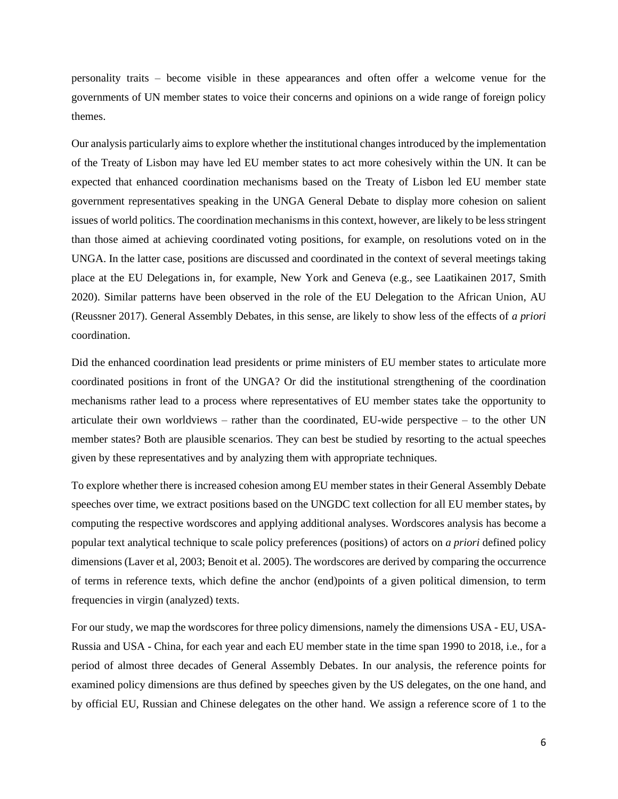personality traits – become visible in these appearances and often offer a welcome venue for the governments of UN member states to voice their concerns and opinions on a wide range of foreign policy themes.

Our analysis particularly aims to explore whether the institutional changes introduced by the implementation of the Treaty of Lisbon may have led EU member states to act more cohesively within the UN. It can be expected that enhanced coordination mechanisms based on the Treaty of Lisbon led EU member state government representatives speaking in the UNGA General Debate to display more cohesion on salient issues of world politics. The coordination mechanisms in this context, however, are likely to be less stringent than those aimed at achieving coordinated voting positions, for example, on resolutions voted on in the UNGA. In the latter case, positions are discussed and coordinated in the context of several meetings taking place at the EU Delegations in, for example, New York and Geneva (e.g., see Laatikainen 2017, Smith 2020). Similar patterns have been observed in the role of the EU Delegation to the African Union, AU (Reussner 2017). General Assembly Debates, in this sense, are likely to show less of the effects of *a priori* coordination.

Did the enhanced coordination lead presidents or prime ministers of EU member states to articulate more coordinated positions in front of the UNGA? Or did the institutional strengthening of the coordination mechanisms rather lead to a process where representatives of EU member states take the opportunity to articulate their own worldviews – rather than the coordinated, EU-wide perspective – to the other UN member states? Both are plausible scenarios. They can best be studied by resorting to the actual speeches given by these representatives and by analyzing them with appropriate techniques.

To explore whether there is increased cohesion among EU member states in their General Assembly Debate speeches over time, we extract positions based on the UNGDC text collection for all EU member states, by computing the respective wordscores and applying additional analyses. Wordscores analysis has become a popular text analytical technique to scale policy preferences (positions) of actors on *a priori* defined policy dimensions (Laver et al, 2003; Benoit et al. 2005). The wordscores are derived by comparing the occurrence of terms in reference texts, which define the anchor (end)points of a given political dimension, to term frequencies in virgin (analyzed) texts.

For our study, we map the wordscores for three policy dimensions, namely the dimensions USA - EU, USA-Russia and USA - China, for each year and each EU member state in the time span 1990 to 2018, i.e., for a period of almost three decades of General Assembly Debates. In our analysis, the reference points for examined policy dimensions are thus defined by speeches given by the US delegates, on the one hand, and by official EU, Russian and Chinese delegates on the other hand. We assign a reference score of 1 to the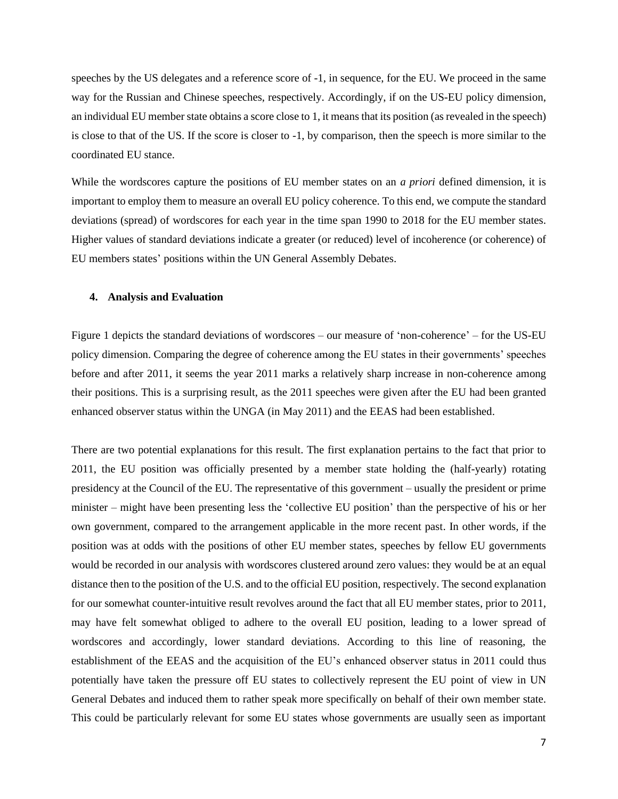speeches by the US delegates and a reference score of -1, in sequence, for the EU. We proceed in the same way for the Russian and Chinese speeches, respectively. Accordingly, if on the US-EU policy dimension, an individual EU member state obtains a score close to 1, it means that its position (as revealed in the speech) is close to that of the US. If the score is closer to -1, by comparison, then the speech is more similar to the coordinated EU stance.

While the wordscores capture the positions of EU member states on an *a priori* defined dimension, it is important to employ them to measure an overall EU policy coherence. To this end, we compute the standard deviations (spread) of wordscores for each year in the time span 1990 to 2018 for the EU member states. Higher values of standard deviations indicate a greater (or reduced) level of incoherence (or coherence) of EU members states' positions within the UN General Assembly Debates.

#### **4. Analysis and Evaluation**

Figure 1 depicts the standard deviations of wordscores – our measure of 'non-coherence' – for the US-EU policy dimension. Comparing the degree of coherence among the EU states in their governments' speeches before and after 2011, it seems the year 2011 marks a relatively sharp increase in non-coherence among their positions. This is a surprising result, as the 2011 speeches were given after the EU had been granted enhanced observer status within the UNGA (in May 2011) and the EEAS had been established.

There are two potential explanations for this result. The first explanation pertains to the fact that prior to 2011, the EU position was officially presented by a member state holding the (half-yearly) rotating presidency at the Council of the EU. The representative of this government – usually the president or prime minister – might have been presenting less the 'collective EU position' than the perspective of his or her own government, compared to the arrangement applicable in the more recent past. In other words, if the position was at odds with the positions of other EU member states, speeches by fellow EU governments would be recorded in our analysis with wordscores clustered around zero values: they would be at an equal distance then to the position of the U.S. and to the official EU position, respectively. The second explanation for our somewhat counter-intuitive result revolves around the fact that all EU member states, prior to 2011, may have felt somewhat obliged to adhere to the overall EU position, leading to a lower spread of wordscores and accordingly, lower standard deviations. According to this line of reasoning, the establishment of the EEAS and the acquisition of the EU's enhanced observer status in 2011 could thus potentially have taken the pressure off EU states to collectively represent the EU point of view in UN General Debates and induced them to rather speak more specifically on behalf of their own member state. This could be particularly relevant for some EU states whose governments are usually seen as important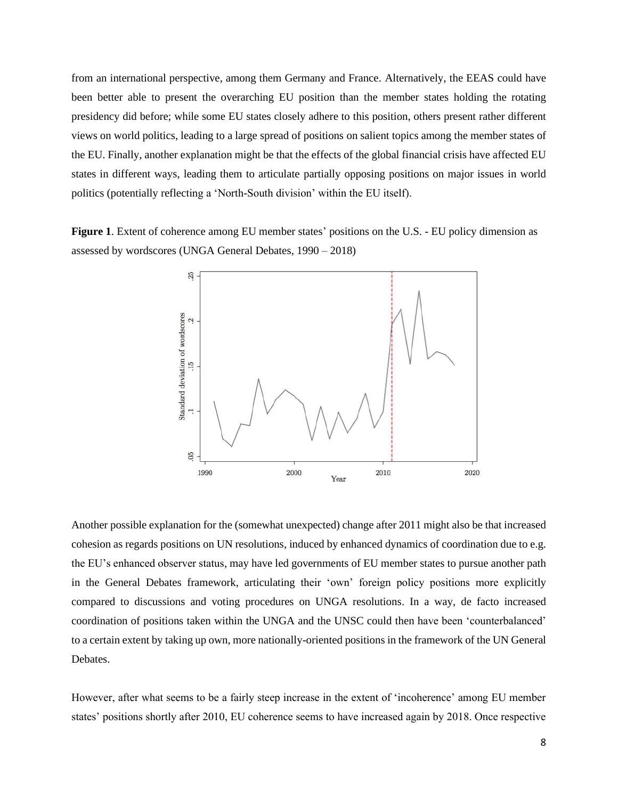from an international perspective, among them Germany and France. Alternatively, the EEAS could have been better able to present the overarching EU position than the member states holding the rotating presidency did before; while some EU states closely adhere to this position, others present rather different views on world politics, leading to a large spread of positions on salient topics among the member states of the EU. Finally, another explanation might be that the effects of the global financial crisis have affected EU states in different ways, leading them to articulate partially opposing positions on major issues in world politics (potentially reflecting a 'North-South division' within the EU itself).

**Figure 1**. Extent of coherence among EU member states' positions on the U.S. - EU policy dimension as assessed by wordscores (UNGA General Debates, 1990 – 2018)



Another possible explanation for the (somewhat unexpected) change after 2011 might also be that increased cohesion as regards positions on UN resolutions, induced by enhanced dynamics of coordination due to e.g. the EU's enhanced observer status, may have led governments of EU member states to pursue another path in the General Debates framework, articulating their 'own' foreign policy positions more explicitly compared to discussions and voting procedures on UNGA resolutions. In a way, de facto increased coordination of positions taken within the UNGA and the UNSC could then have been 'counterbalanced' to a certain extent by taking up own, more nationally-oriented positions in the framework of the UN General Debates.

However, after what seems to be a fairly steep increase in the extent of 'incoherence' among EU member states' positions shortly after 2010, EU coherence seems to have increased again by 2018. Once respective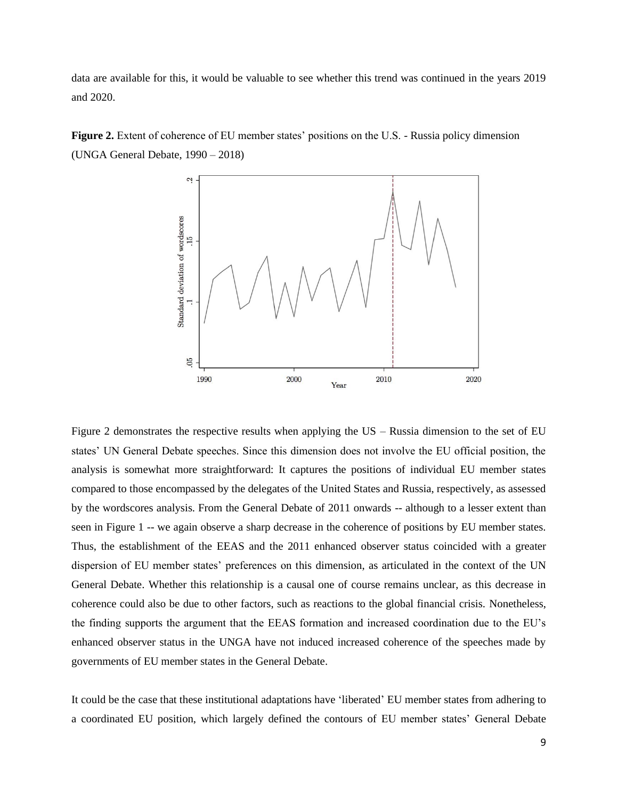data are available for this, it would be valuable to see whether this trend was continued in the years 2019 and 2020.

**Figure 2.** Extent of coherence of EU member states' positions on the U.S. - Russia policy dimension (UNGA General Debate, 1990 – 2018)



Figure 2 demonstrates the respective results when applying the US – Russia dimension to the set of EU states' UN General Debate speeches. Since this dimension does not involve the EU official position, the analysis is somewhat more straightforward: It captures the positions of individual EU member states compared to those encompassed by the delegates of the United States and Russia, respectively, as assessed by the wordscores analysis. From the General Debate of 2011 onwards -- although to a lesser extent than seen in Figure 1 -- we again observe a sharp decrease in the coherence of positions by EU member states. Thus, the establishment of the EEAS and the 2011 enhanced observer status coincided with a greater dispersion of EU member states' preferences on this dimension, as articulated in the context of the UN General Debate. Whether this relationship is a causal one of course remains unclear, as this decrease in coherence could also be due to other factors, such as reactions to the global financial crisis. Nonetheless, the finding supports the argument that the EEAS formation and increased coordination due to the EU's enhanced observer status in the UNGA have not induced increased coherence of the speeches made by governments of EU member states in the General Debate.

It could be the case that these institutional adaptations have 'liberated' EU member states from adhering to a coordinated EU position, which largely defined the contours of EU member states' General Debate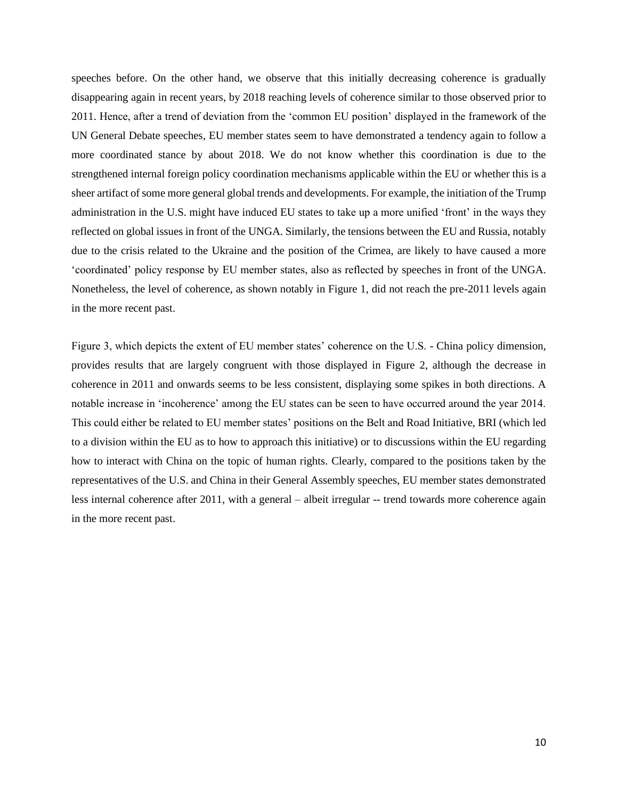speeches before. On the other hand, we observe that this initially decreasing coherence is gradually disappearing again in recent years, by 2018 reaching levels of coherence similar to those observed prior to 2011. Hence, after a trend of deviation from the 'common EU position' displayed in the framework of the UN General Debate speeches, EU member states seem to have demonstrated a tendency again to follow a more coordinated stance by about 2018. We do not know whether this coordination is due to the strengthened internal foreign policy coordination mechanisms applicable within the EU or whether this is a sheer artifact of some more general global trends and developments. For example, the initiation of the Trump administration in the U.S. might have induced EU states to take up a more unified 'front' in the ways they reflected on global issues in front of the UNGA. Similarly, the tensions between the EU and Russia, notably due to the crisis related to the Ukraine and the position of the Crimea, are likely to have caused a more 'coordinated' policy response by EU member states, also as reflected by speeches in front of the UNGA. Nonetheless, the level of coherence, as shown notably in Figure 1, did not reach the pre-2011 levels again in the more recent past.

Figure 3, which depicts the extent of EU member states' coherence on the U.S. - China policy dimension, provides results that are largely congruent with those displayed in Figure 2, although the decrease in coherence in 2011 and onwards seems to be less consistent, displaying some spikes in both directions. A notable increase in 'incoherence' among the EU states can be seen to have occurred around the year 2014. This could either be related to EU member states' positions on the Belt and Road Initiative, BRI (which led to a division within the EU as to how to approach this initiative) or to discussions within the EU regarding how to interact with China on the topic of human rights. Clearly, compared to the positions taken by the representatives of the U.S. and China in their General Assembly speeches, EU member states demonstrated less internal coherence after 2011, with a general – albeit irregular -- trend towards more coherence again in the more recent past.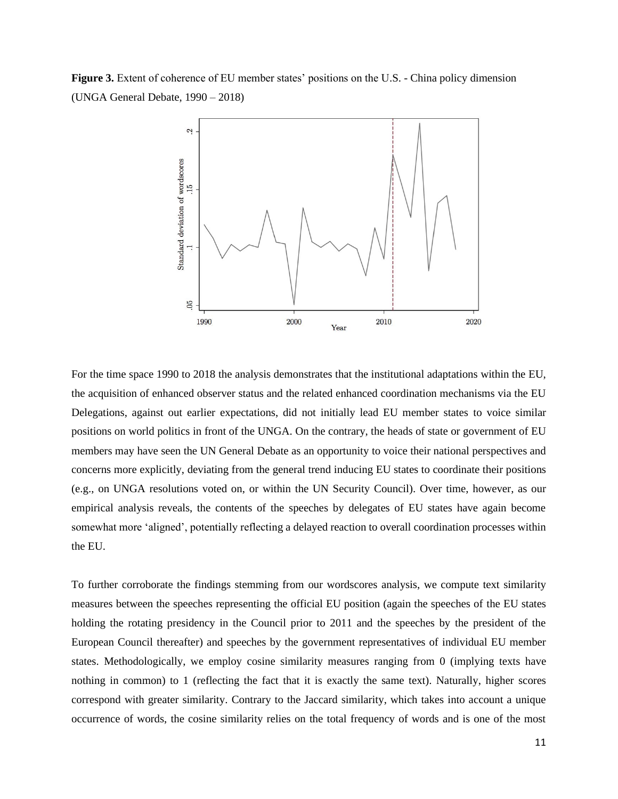**Figure 3.** Extent of coherence of EU member states' positions on the U.S. - China policy dimension (UNGA General Debate, 1990 – 2018)



For the time space 1990 to 2018 the analysis demonstrates that the institutional adaptations within the EU, the acquisition of enhanced observer status and the related enhanced coordination mechanisms via the EU Delegations, against out earlier expectations, did not initially lead EU member states to voice similar positions on world politics in front of the UNGA. On the contrary, the heads of state or government of EU members may have seen the UN General Debate as an opportunity to voice their national perspectives and concerns more explicitly, deviating from the general trend inducing EU states to coordinate their positions (e.g., on UNGA resolutions voted on, or within the UN Security Council). Over time, however, as our empirical analysis reveals, the contents of the speeches by delegates of EU states have again become somewhat more 'aligned', potentially reflecting a delayed reaction to overall coordination processes within the EU.

To further corroborate the findings stemming from our wordscores analysis, we compute text similarity measures between the speeches representing the official EU position (again the speeches of the EU states holding the rotating presidency in the Council prior to 2011 and the speeches by the president of the European Council thereafter) and speeches by the government representatives of individual EU member states. Methodologically, we employ cosine similarity measures ranging from 0 (implying texts have nothing in common) to 1 (reflecting the fact that it is exactly the same text). Naturally, higher scores correspond with greater similarity. Contrary to the Jaccard similarity, which takes into account a unique occurrence of words, the cosine similarity relies on the total frequency of words and is one of the most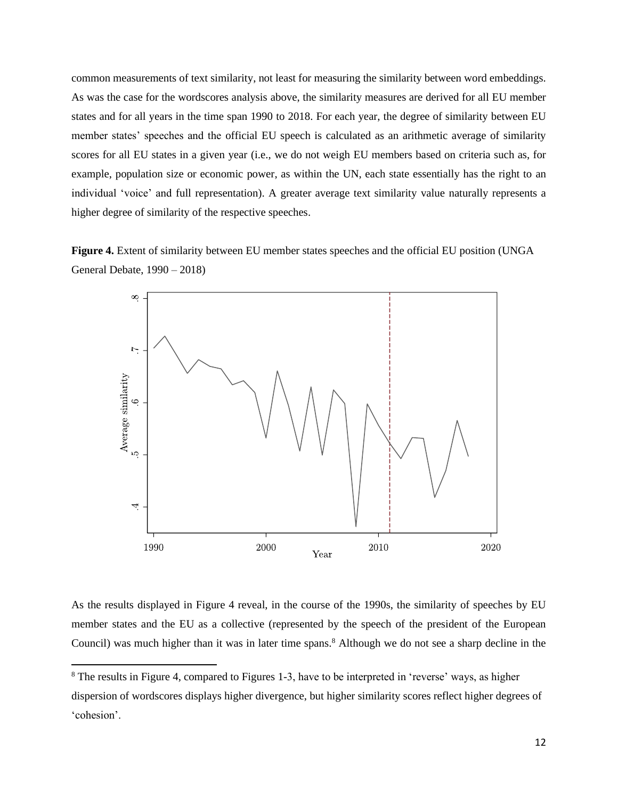common measurements of text similarity, not least for measuring the similarity between word embeddings. As was the case for the wordscores analysis above, the similarity measures are derived for all EU member states and for all years in the time span 1990 to 2018. For each year, the degree of similarity between EU member states' speeches and the official EU speech is calculated as an arithmetic average of similarity scores for all EU states in a given year (i.e., we do not weigh EU members based on criteria such as, for example, population size or economic power, as within the UN, each state essentially has the right to an individual 'voice' and full representation). A greater average text similarity value naturally represents a higher degree of similarity of the respective speeches.





As the results displayed in Figure 4 reveal, in the course of the 1990s, the similarity of speeches by EU member states and the EU as a collective (represented by the speech of the president of the European Council) was much higher than it was in later time spans.<sup>8</sup> Although we do not see a sharp decline in the

<sup>&</sup>lt;sup>8</sup> The results in Figure 4, compared to Figures 1-3, have to be interpreted in 'reverse' ways, as higher dispersion of wordscores displays higher divergence, but higher similarity scores reflect higher degrees of 'cohesion'.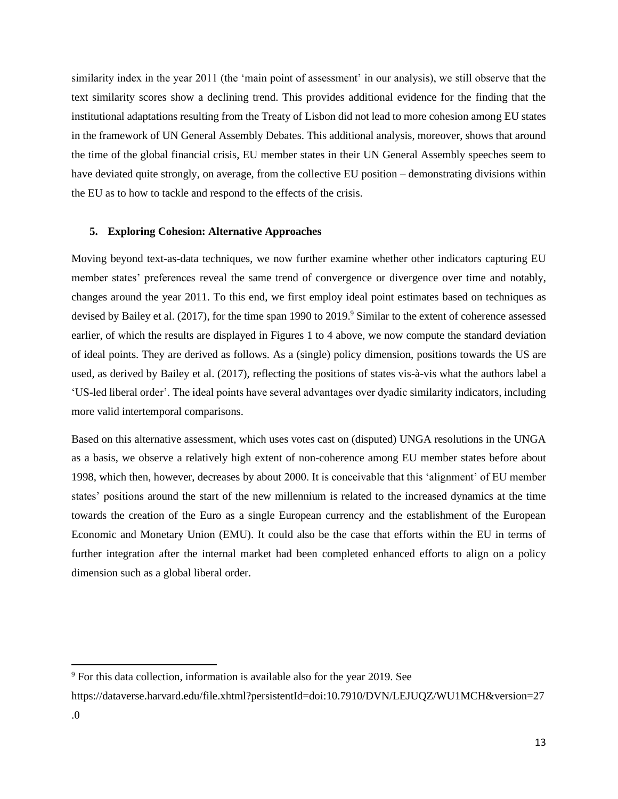similarity index in the year 2011 (the 'main point of assessment' in our analysis), we still observe that the text similarity scores show a declining trend. This provides additional evidence for the finding that the institutional adaptations resulting from the Treaty of Lisbon did not lead to more cohesion among EU states in the framework of UN General Assembly Debates. This additional analysis, moreover, shows that around the time of the global financial crisis, EU member states in their UN General Assembly speeches seem to have deviated quite strongly, on average, from the collective EU position – demonstrating divisions within the EU as to how to tackle and respond to the effects of the crisis.

#### **5. Exploring Cohesion: Alternative Approaches**

Moving beyond text-as-data techniques, we now further examine whether other indicators capturing EU member states' preferences reveal the same trend of convergence or divergence over time and notably, changes around the year 2011. To this end, we first employ ideal point estimates based on techniques as devised by Bailey et al. (2017), for the time span 1990 to 2019.<sup>9</sup> Similar to the extent of coherence assessed earlier, of which the results are displayed in Figures 1 to 4 above, we now compute the standard deviation of ideal points. They are derived as follows. As a (single) policy dimension, positions towards the US are used, as derived by Bailey et al. (2017), reflecting the positions of states vis-à-vis what the authors label a 'US-led liberal order'. The ideal points have several advantages over dyadic similarity indicators, including more valid intertemporal comparisons.

Based on this alternative assessment, which uses votes cast on (disputed) UNGA resolutions in the UNGA as a basis, we observe a relatively high extent of non-coherence among EU member states before about 1998, which then, however, decreases by about 2000. It is conceivable that this 'alignment' of EU member states' positions around the start of the new millennium is related to the increased dynamics at the time towards the creation of the Euro as a single European currency and the establishment of the European Economic and Monetary Union (EMU). It could also be the case that efforts within the EU in terms of further integration after the internal market had been completed enhanced efforts to align on a policy dimension such as a global liberal order.

<sup>9</sup> For this data collection, information is available also for the year 2019. See

https://dataverse.harvard.edu/file.xhtml?persistentId=doi:10.7910/DVN/LEJUQZ/WU1MCH&version=27 .0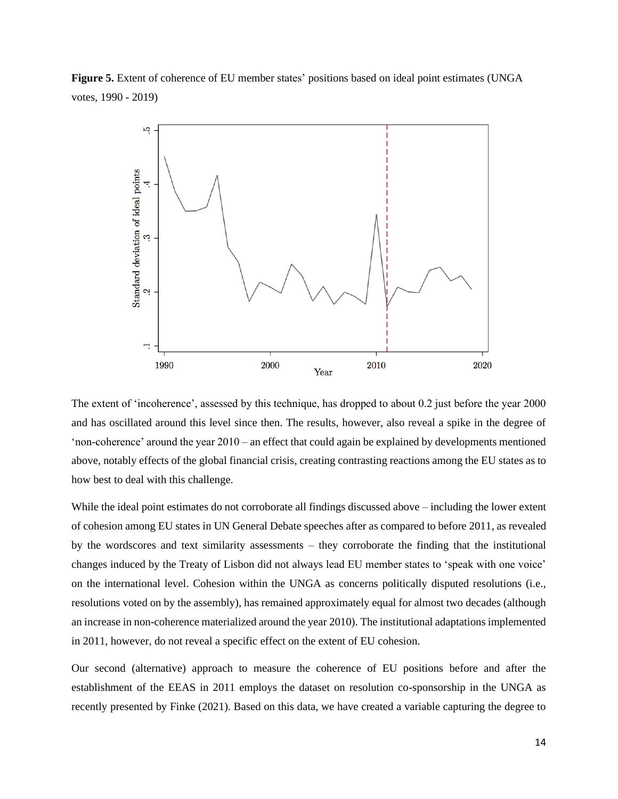**Figure 5.** Extent of coherence of EU member states' positions based on ideal point estimates (UNGA votes, 1990 - 2019)



The extent of 'incoherence', assessed by this technique, has dropped to about 0.2 just before the year 2000 and has oscillated around this level since then. The results, however, also reveal a spike in the degree of 'non-coherence' around the year 2010 – an effect that could again be explained by developments mentioned above, notably effects of the global financial crisis, creating contrasting reactions among the EU states as to how best to deal with this challenge.

While the ideal point estimates do not corroborate all findings discussed above – including the lower extent of cohesion among EU states in UN General Debate speeches after as compared to before 2011, as revealed by the wordscores and text similarity assessments – they corroborate the finding that the institutional changes induced by the Treaty of Lisbon did not always lead EU member states to 'speak with one voice' on the international level. Cohesion within the UNGA as concerns politically disputed resolutions (i.e., resolutions voted on by the assembly), has remained approximately equal for almost two decades (although an increase in non-coherence materialized around the year 2010). The institutional adaptations implemented in 2011, however, do not reveal a specific effect on the extent of EU cohesion.

Our second (alternative) approach to measure the coherence of EU positions before and after the establishment of the EEAS in 2011 employs the dataset on resolution co-sponsorship in the UNGA as recently presented by Finke (2021). Based on this data, we have created a variable capturing the degree to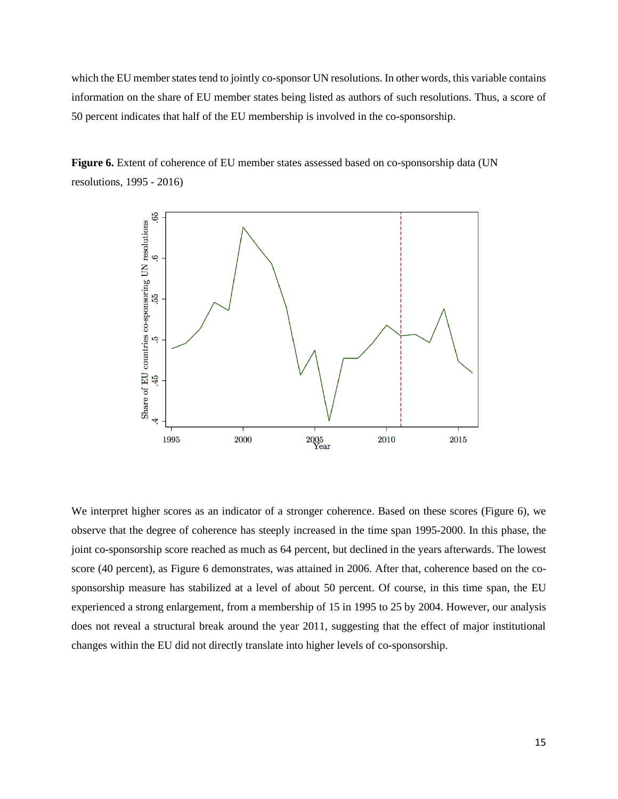which the EU member states tend to jointly co-sponsor UN resolutions. In other words, this variable contains information on the share of EU member states being listed as authors of such resolutions. Thus, a score of 50 percent indicates that half of the EU membership is involved in the co-sponsorship.

**Figure 6.** Extent of coherence of EU member states assessed based on co-sponsorship data (UN resolutions, 1995 - 2016)



We interpret higher scores as an indicator of a stronger coherence. Based on these scores (Figure 6), we observe that the degree of coherence has steeply increased in the time span 1995-2000. In this phase, the joint co-sponsorship score reached as much as 64 percent, but declined in the years afterwards. The lowest score (40 percent), as Figure 6 demonstrates, was attained in 2006. After that, coherence based on the cosponsorship measure has stabilized at a level of about 50 percent. Of course, in this time span, the EU experienced a strong enlargement, from a membership of 15 in 1995 to 25 by 2004. However, our analysis does not reveal a structural break around the year 2011, suggesting that the effect of major institutional changes within the EU did not directly translate into higher levels of co-sponsorship.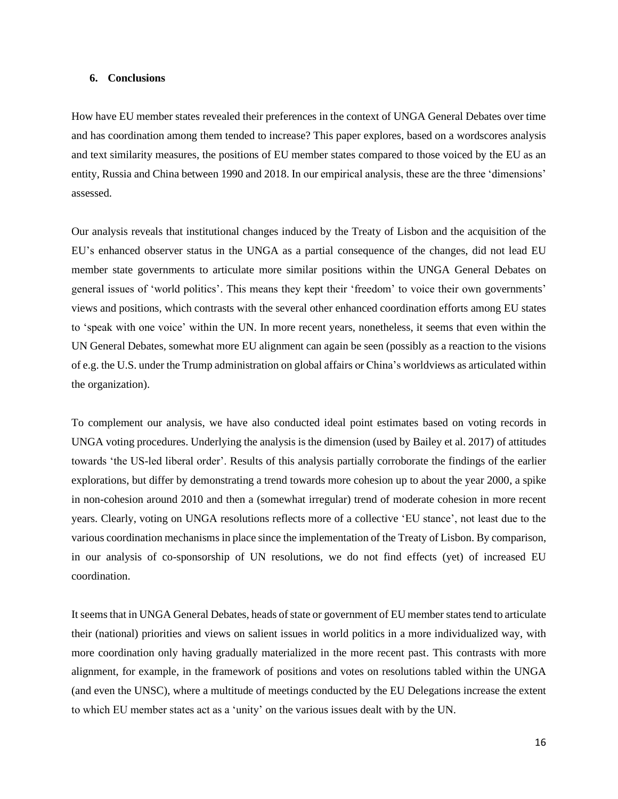# **6. Conclusions**

How have EU member states revealed their preferences in the context of UNGA General Debates over time and has coordination among them tended to increase? This paper explores, based on a wordscores analysis and text similarity measures, the positions of EU member states compared to those voiced by the EU as an entity, Russia and China between 1990 and 2018. In our empirical analysis, these are the three 'dimensions' assessed.

Our analysis reveals that institutional changes induced by the Treaty of Lisbon and the acquisition of the EU's enhanced observer status in the UNGA as a partial consequence of the changes, did not lead EU member state governments to articulate more similar positions within the UNGA General Debates on general issues of 'world politics'. This means they kept their 'freedom' to voice their own governments' views and positions, which contrasts with the several other enhanced coordination efforts among EU states to 'speak with one voice' within the UN. In more recent years, nonetheless, it seems that even within the UN General Debates, somewhat more EU alignment can again be seen (possibly as a reaction to the visions of e.g. the U.S. under the Trump administration on global affairs or China's worldviews as articulated within the organization).

To complement our analysis, we have also conducted ideal point estimates based on voting records in UNGA voting procedures. Underlying the analysis is the dimension (used by Bailey et al. 2017) of attitudes towards 'the US-led liberal order'. Results of this analysis partially corroborate the findings of the earlier explorations, but differ by demonstrating a trend towards more cohesion up to about the year 2000, a spike in non-cohesion around 2010 and then a (somewhat irregular) trend of moderate cohesion in more recent years. Clearly, voting on UNGA resolutions reflects more of a collective 'EU stance', not least due to the various coordination mechanisms in place since the implementation of the Treaty of Lisbon. By comparison, in our analysis of co-sponsorship of UN resolutions, we do not find effects (yet) of increased EU coordination.

It seems that in UNGA General Debates, heads of state or government of EU member states tend to articulate their (national) priorities and views on salient issues in world politics in a more individualized way, with more coordination only having gradually materialized in the more recent past. This contrasts with more alignment, for example, in the framework of positions and votes on resolutions tabled within the UNGA (and even the UNSC), where a multitude of meetings conducted by the EU Delegations increase the extent to which EU member states act as a 'unity' on the various issues dealt with by the UN.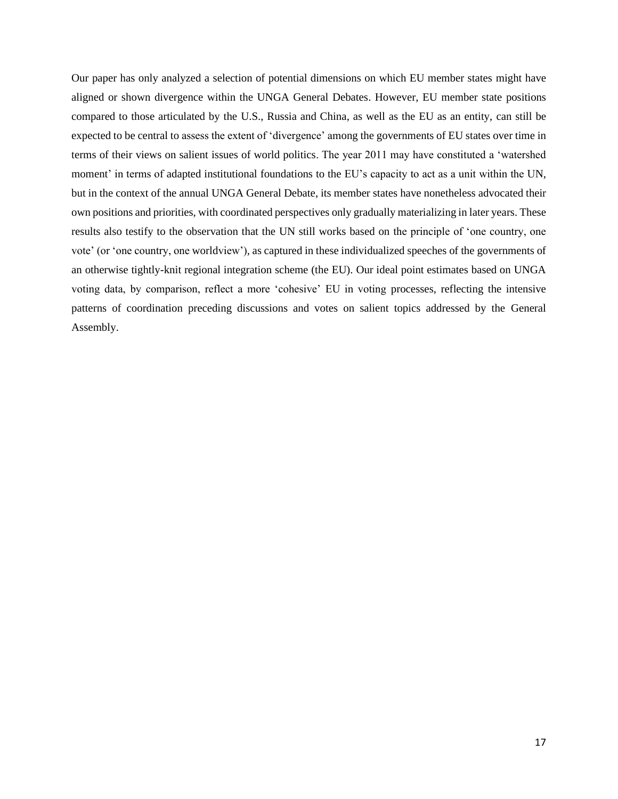Our paper has only analyzed a selection of potential dimensions on which EU member states might have aligned or shown divergence within the UNGA General Debates. However, EU member state positions compared to those articulated by the U.S., Russia and China, as well as the EU as an entity, can still be expected to be central to assess the extent of 'divergence' among the governments of EU states over time in terms of their views on salient issues of world politics. The year 2011 may have constituted a 'watershed moment' in terms of adapted institutional foundations to the EU's capacity to act as a unit within the UN, but in the context of the annual UNGA General Debate, its member states have nonetheless advocated their own positions and priorities, with coordinated perspectives only gradually materializing in later years. These results also testify to the observation that the UN still works based on the principle of 'one country, one vote' (or 'one country, one worldview'), as captured in these individualized speeches of the governments of an otherwise tightly-knit regional integration scheme (the EU). Our ideal point estimates based on UNGA voting data, by comparison, reflect a more 'cohesive' EU in voting processes, reflecting the intensive patterns of coordination preceding discussions and votes on salient topics addressed by the General Assembly.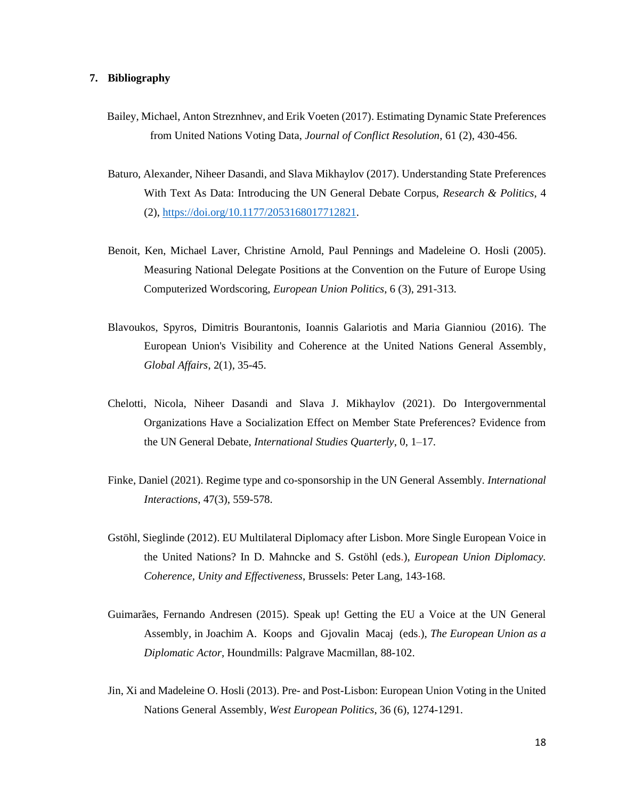# **7. Bibliography**

- Bailey, Michael, Anton Streznhnev, and Erik Voeten (2017). Estimating Dynamic State Preferences from United Nations Voting Data, *Journal of Conflict Resolution*, 61 (2), 430-456.
- Baturo, Alexander, Niheer Dasandi, and Slava Mikhaylov (2017). Understanding State Preferences With Text As Data: Introducing the UN General Debate Corpus, *Research & Politics*, 4 (2), [https://doi.org/10.1177/2053168017712821.](https://doi.org/10.1177/2053168017712821)
- Benoit, Ken, Michael Laver, Christine Arnold, Paul Pennings and Madeleine O. Hosli (2005). Measuring National Delegate Positions at the Convention on the Future of Europe Using Computerized Wordscoring, *European Union Politics*, 6 (3), 291-313.
- Blavoukos, Spyros, Dimitris Bourantonis, Ioannis Galariotis and Maria Gianniou (2016). The European Union's Visibility and Coherence at the United Nations General Assembly, *Global Affairs*, 2(1), 35-45.
- Chelotti, Nicola, Niheer Dasandi and Slava J. Mikhaylov (2021). Do Intergovernmental Organizations Have a Socialization Effect on Member State Preferences? Evidence from the UN General Debate, *International Studies Quarterly*, 0, 1–17.
- Finke, Daniel (2021). Regime type and co-sponsorship in the UN General Assembly. *International Interactions*, 47(3), 559-578.
- Gstöhl, Sieglinde (2012). EU Multilateral Diplomacy after Lisbon. More Single European Voice in the United Nations? In D. Mahncke and S. Gstöhl (eds.), *European Union Diplomacy. Coherence, Unity and Effectiveness*, Brussels: Peter Lang, 143-168.
- Guimarães, Fernando Andresen (2015). Speak up! Getting the EU a Voice at the UN General Assembly, in Joachim A. Koops and Gjovalin Macaj (eds.), *The European Union as a Diplomatic Actor*, Houndmills: Palgrave Macmillan, 88-102.
- Jin, Xi and Madeleine O. Hosli (2013). Pre- and Post-Lisbon: European Union Voting in the United Nations General Assembly, *West European Politics*, 36 (6), 1274-1291.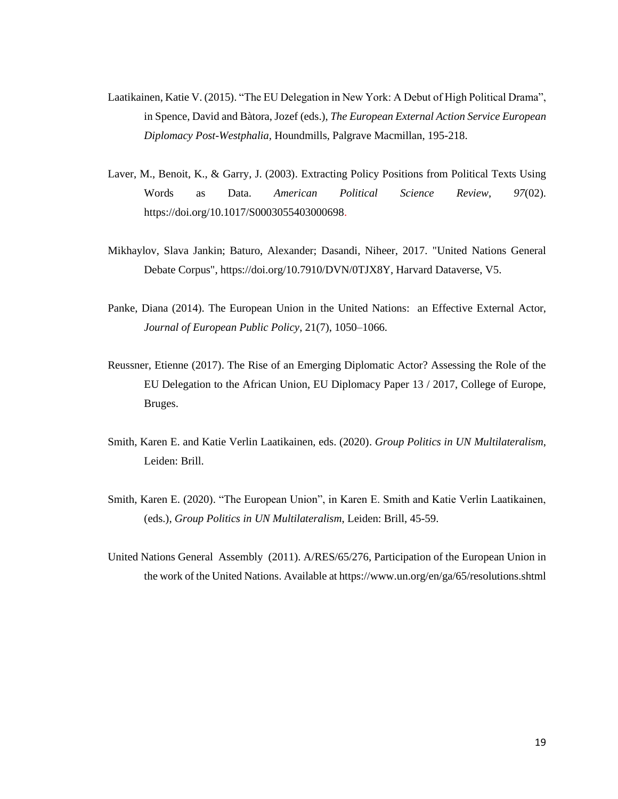- Laatikainen, Katie V. (2015). "The EU Delegation in New York: A Debut of High Political Drama", in Spence, David and Bàtora, Jozef (eds.), *The European External Action Service European Diplomacy Post-Westphalia,* Houndmills, Palgrave Macmillan, 195-218.
- Laver, M., Benoit, K., & Garry, J. (2003). Extracting Policy Positions from Political Texts Using Words as Data. *American Political Science Review*, *97*(02). https://doi.org/10.1017/S0003055403000698.
- Mikhaylov, Slava Jankin; Baturo, Alexander; Dasandi, Niheer, 2017. "United Nations General Debate Corpus", https://doi.org/10.7910/DVN/0TJX8Y, Harvard Dataverse, V5.
- Panke, Diana (2014). The European Union in the United Nations: an Effective External Actor, *Journal of European Public Policy*, 21(7), 1050–1066.
- Reussner, Etienne (2017). The Rise of an Emerging Diplomatic Actor? Assessing the Role of the EU Delegation to the African Union, EU Diplomacy Paper 13 / 2017, College of Europe, Bruges.
- Smith, Karen E. and Katie Verlin Laatikainen, eds. (2020). *Group Politics in UN Multilateralism*, Leiden: Brill.
- Smith, Karen E. (2020). "The European Union", in Karen E. Smith and Katie Verlin Laatikainen, (eds.), *Group Politics in UN Multilateralism*, Leiden: Brill, 45-59.
- United Nations General Assembly (2011). A/RES/65/276, Participation of the European Union in the work of the United Nations. Available at https://www.un.org/en/ga/65/resolutions.shtml